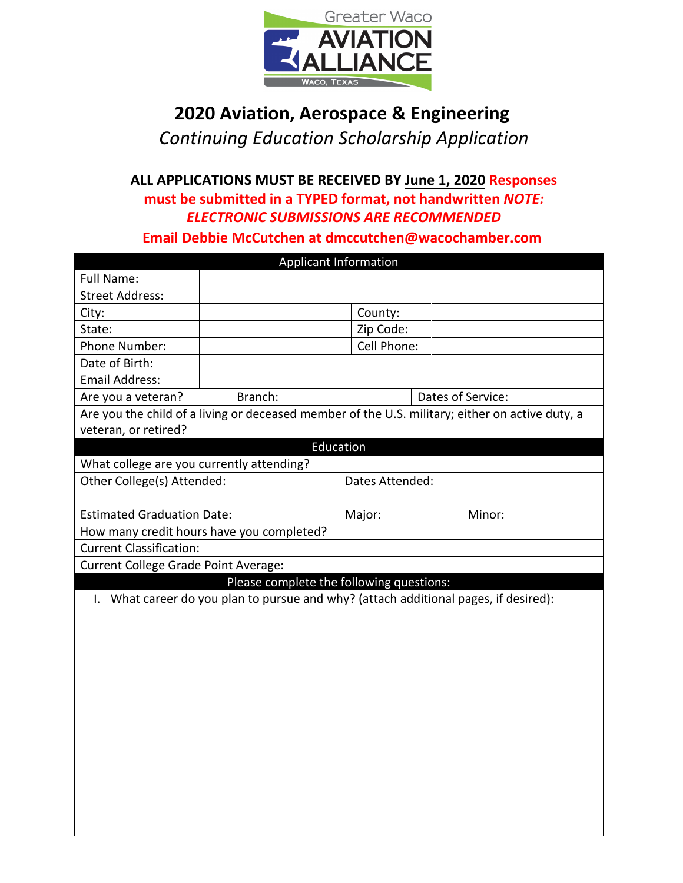

## **2020 Aviation, Aerospace & Engineering**

*Continuing Education Scholarship Application*

**ALL APPLICATIONS MUST BE RECEIVED BY June 1, 2020 Responses must be submitted in a TYPED format, not handwritten** *NOTE: ELECTRONIC SUBMISSIONS ARE RECOMMENDED* 

**Email Debbie McCutchen at dmccutchen@wacochamber.com** 

| <b>Applicant Information</b>              |                                                                                      |                 |                                                                                                 |  |  |
|-------------------------------------------|--------------------------------------------------------------------------------------|-----------------|-------------------------------------------------------------------------------------------------|--|--|
| Full Name:                                |                                                                                      |                 |                                                                                                 |  |  |
| <b>Street Address:</b>                    |                                                                                      |                 |                                                                                                 |  |  |
| City:                                     |                                                                                      | County:         |                                                                                                 |  |  |
| State:                                    |                                                                                      | Zip Code:       |                                                                                                 |  |  |
| Phone Number:                             |                                                                                      | Cell Phone:     |                                                                                                 |  |  |
| Date of Birth:                            |                                                                                      |                 |                                                                                                 |  |  |
| <b>Email Address:</b>                     |                                                                                      |                 |                                                                                                 |  |  |
| Are you a veteran?                        | Branch:                                                                              |                 | Dates of Service:                                                                               |  |  |
|                                           |                                                                                      |                 | Are you the child of a living or deceased member of the U.S. military; either on active duty, a |  |  |
| veteran, or retired?                      |                                                                                      |                 |                                                                                                 |  |  |
|                                           |                                                                                      | Education       |                                                                                                 |  |  |
| What college are you currently attending? |                                                                                      |                 |                                                                                                 |  |  |
| Other College(s) Attended:                |                                                                                      | Dates Attended: |                                                                                                 |  |  |
|                                           |                                                                                      |                 |                                                                                                 |  |  |
| <b>Estimated Graduation Date:</b>         |                                                                                      | Major:          | Minor:                                                                                          |  |  |
| How many credit hours have you completed? |                                                                                      |                 |                                                                                                 |  |  |
| <b>Current Classification:</b>            |                                                                                      |                 |                                                                                                 |  |  |
| Current College Grade Point Average:      |                                                                                      |                 |                                                                                                 |  |  |
|                                           | Please complete the following questions:                                             |                 |                                                                                                 |  |  |
|                                           | I. What career do you plan to pursue and why? (attach additional pages, if desired): |                 |                                                                                                 |  |  |
|                                           |                                                                                      |                 |                                                                                                 |  |  |
|                                           |                                                                                      |                 |                                                                                                 |  |  |
|                                           |                                                                                      |                 |                                                                                                 |  |  |
|                                           |                                                                                      |                 |                                                                                                 |  |  |
|                                           |                                                                                      |                 |                                                                                                 |  |  |
|                                           |                                                                                      |                 |                                                                                                 |  |  |
|                                           |                                                                                      |                 |                                                                                                 |  |  |
|                                           |                                                                                      |                 |                                                                                                 |  |  |
|                                           |                                                                                      |                 |                                                                                                 |  |  |
|                                           |                                                                                      |                 |                                                                                                 |  |  |
|                                           |                                                                                      |                 |                                                                                                 |  |  |
|                                           |                                                                                      |                 |                                                                                                 |  |  |
|                                           |                                                                                      |                 |                                                                                                 |  |  |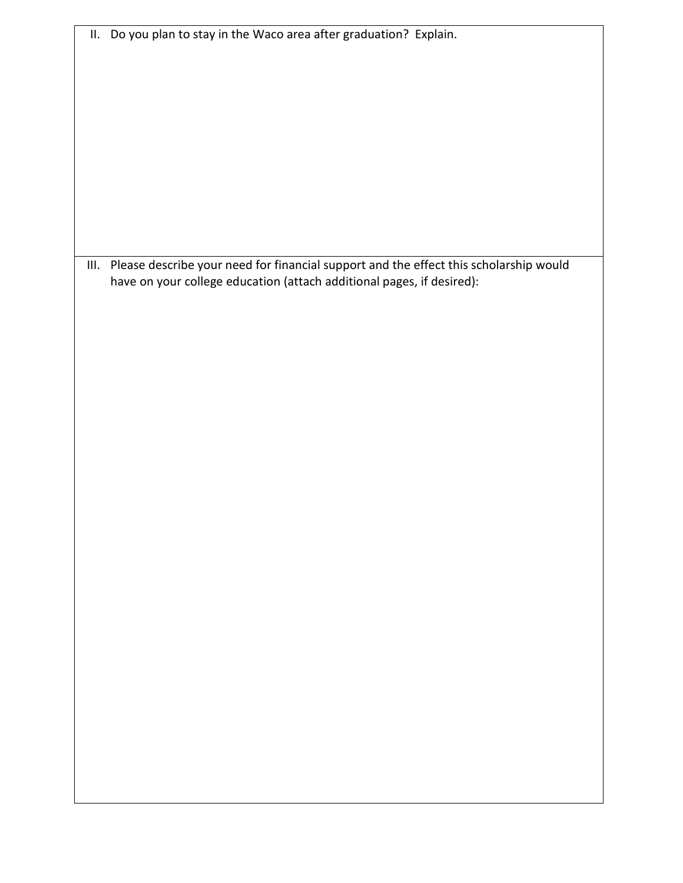| III. Please describe your need for financial support and the effect this scholarship would |
|--------------------------------------------------------------------------------------------|
| have on your college education (attach additional pages, if desired):                      |
|                                                                                            |
|                                                                                            |
|                                                                                            |
|                                                                                            |
|                                                                                            |
|                                                                                            |
|                                                                                            |
|                                                                                            |
|                                                                                            |
|                                                                                            |
|                                                                                            |
|                                                                                            |
|                                                                                            |
|                                                                                            |
|                                                                                            |
|                                                                                            |
|                                                                                            |
|                                                                                            |
|                                                                                            |
|                                                                                            |
|                                                                                            |
|                                                                                            |
|                                                                                            |
|                                                                                            |
|                                                                                            |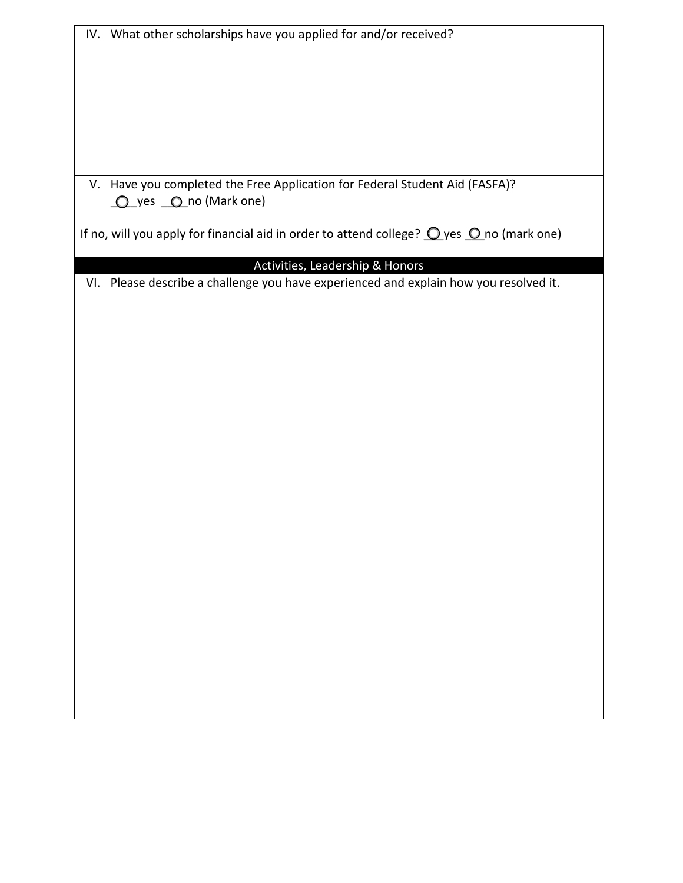| IV. What other scholarships have you applied for and/or received?                                           |  |  |  |
|-------------------------------------------------------------------------------------------------------------|--|--|--|
|                                                                                                             |  |  |  |
|                                                                                                             |  |  |  |
|                                                                                                             |  |  |  |
|                                                                                                             |  |  |  |
|                                                                                                             |  |  |  |
|                                                                                                             |  |  |  |
|                                                                                                             |  |  |  |
|                                                                                                             |  |  |  |
| V. Have you completed the Free Application for Federal Student Aid (FASFA)?                                 |  |  |  |
| O yes O no (Mark one)                                                                                       |  |  |  |
| If no, will you apply for financial aid in order to attend college? $\bigcirc$ yes $\bigcirc$ no (mark one) |  |  |  |
|                                                                                                             |  |  |  |
| Activities, Leadership & Honors                                                                             |  |  |  |
| VI. Please describe a challenge you have experienced and explain how you resolved it.                       |  |  |  |
|                                                                                                             |  |  |  |
|                                                                                                             |  |  |  |
|                                                                                                             |  |  |  |
|                                                                                                             |  |  |  |
|                                                                                                             |  |  |  |
|                                                                                                             |  |  |  |
|                                                                                                             |  |  |  |
|                                                                                                             |  |  |  |
|                                                                                                             |  |  |  |
|                                                                                                             |  |  |  |
|                                                                                                             |  |  |  |
|                                                                                                             |  |  |  |
|                                                                                                             |  |  |  |
|                                                                                                             |  |  |  |
|                                                                                                             |  |  |  |
|                                                                                                             |  |  |  |
|                                                                                                             |  |  |  |
|                                                                                                             |  |  |  |
|                                                                                                             |  |  |  |
|                                                                                                             |  |  |  |
|                                                                                                             |  |  |  |
|                                                                                                             |  |  |  |
|                                                                                                             |  |  |  |
|                                                                                                             |  |  |  |
|                                                                                                             |  |  |  |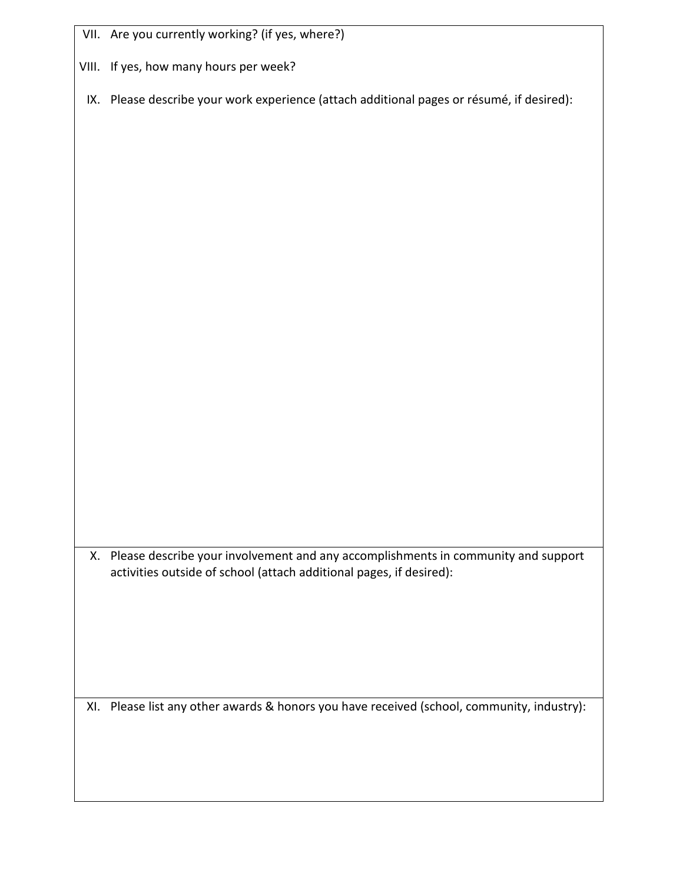|  | VII. Are you currently working? (if yes, where?) |  |
|--|--------------------------------------------------|--|
|--|--------------------------------------------------|--|

VIII. If yes, how many hours per week?

IX. Please describe your work experience (attach additional pages or résumé, if desired):

X. Please describe your involvement and any accomplishments in community and support activities outside of school (attach additional pages, if desired):

XI. Please list any other awards & honors you have received (school, community, industry):